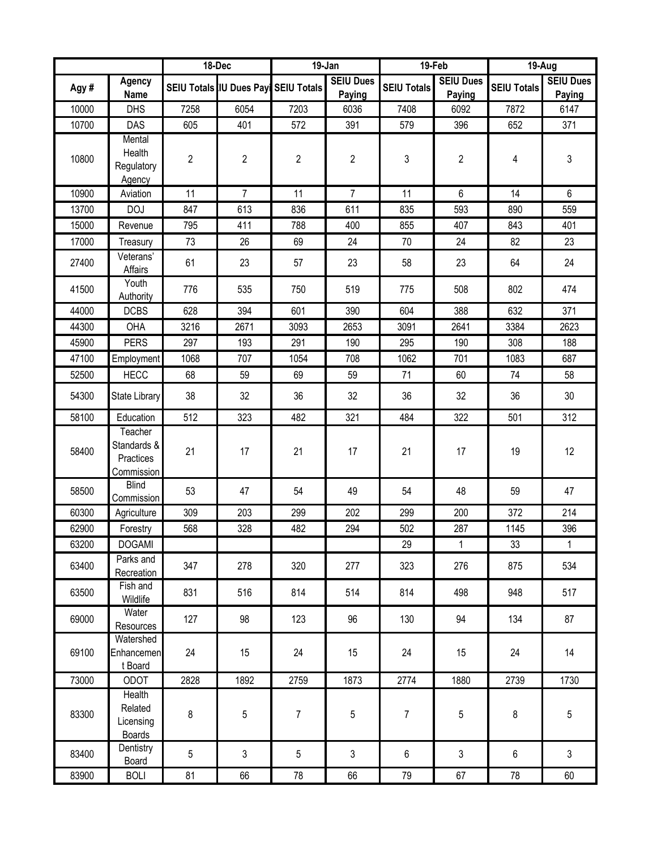|       |                                                   | 18-Dec |                                      | 19-Jan         |                            | 19-Feb             |                            | 19-Aug             |                            |
|-------|---------------------------------------------------|--------|--------------------------------------|----------------|----------------------------|--------------------|----------------------------|--------------------|----------------------------|
| Agy#  | <b>Agency</b><br><b>Name</b>                      |        | SEIU Totals IU Dues Payl SEIU Totals |                | <b>SEIU Dues</b><br>Paying | <b>SEIU Totals</b> | <b>SEIU Dues</b><br>Paying | <b>SEIU Totals</b> | <b>SEIU Dues</b><br>Paying |
| 10000 | <b>DHS</b>                                        | 7258   | 6054                                 | 7203           | 6036                       | 7408               | 6092                       | 7872               | 6147                       |
| 10700 | DAS                                               | 605    | 401                                  | 572            | 391                        | 579                | 396                        | 652                | 371                        |
| 10800 | Mental<br>Health<br>Regulatory<br>Agency          | 2      | 2                                    | $\overline{2}$ | $\overline{2}$             | 3                  | $\boldsymbol{2}$           | 4                  | 3                          |
| 10900 | Aviation                                          | 11     | $\overline{7}$                       | 11             | $\overline{7}$             | 11                 | $6\phantom{.}$             | 14                 | 6                          |
| 13700 | <b>DOJ</b>                                        | 847    | 613                                  | 836            | 611                        | 835                | 593                        | 890                | 559                        |
| 15000 | Revenue                                           | 795    | 411                                  | 788            | 400                        | 855                | 407                        | 843                | 401                        |
| 17000 | Treasury                                          | 73     | 26                                   | 69             | 24                         | 70                 | 24                         | 82                 | 23                         |
| 27400 | Veterans'<br>Affairs                              | 61     | 23                                   | 57             | 23                         | 58                 | 23                         | 64                 | 24                         |
| 41500 | Youth<br>Authority                                | 776    | 535                                  | 750            | 519                        | 775                | 508                        | 802                | 474                        |
| 44000 | <b>DCBS</b>                                       | 628    | 394                                  | 601            | 390                        | 604                | 388                        | 632                | 371                        |
| 44300 | OHA                                               | 3216   | 2671                                 | 3093           | 2653                       | 3091               | 2641                       | 3384               | 2623                       |
| 45900 | <b>PERS</b>                                       | 297    | 193                                  | 291            | 190                        | 295                | 190                        | 308                | 188                        |
| 47100 | Employment                                        | 1068   | 707                                  | 1054           | 708                        | 1062               | 701                        | 1083               | 687                        |
| 52500 | <b>HECC</b>                                       | 68     | 59                                   | 69             | 59                         | 71                 | 60                         | 74                 | 58                         |
| 54300 | State Library                                     | 38     | 32                                   | 36             | 32                         | 36                 | 32                         | 36                 | 30                         |
| 58100 | Education                                         | 512    | 323                                  | 482            | 321                        | 484                | 322                        | 501                | 312                        |
| 58400 | Teacher<br>Standards &<br>Practices<br>Commission | 21     | 17                                   | 21             | 17                         | 21                 | 17                         | 19                 | 12                         |
| 58500 | <b>Blind</b><br>Commission                        | 53     | 47                                   | 54             | 49                         | 54                 | 48                         | 59                 | 47                         |
| 60300 | Agriculture                                       | 309    | 203                                  | 299            | 202                        | 299                | 200                        | 372                | 214                        |
| 62900 | Forestry                                          | 568    | 328                                  | 482            | 294                        | 502                | 287                        | 1145               | 396                        |
| 63200 | <b>DOGAMI</b>                                     |        |                                      |                |                            | 29                 | $\mathbf{1}$               | 33                 | $\mathbf{1}$               |
| 63400 | Parks and<br>Recreation                           | 347    | 278                                  | 320            | 277                        | 323                | 276                        | 875                | 534                        |
| 63500 | Fish and<br>Wildlife                              | 831    | 516                                  | 814            | 514                        | 814                | 498                        | 948                | 517                        |
| 69000 | Water<br>Resources                                | 127    | 98                                   | 123            | 96                         | 130                | 94                         | 134                | 87                         |
| 69100 | Watershed<br>Enhancemen<br>t Board                | 24     | 15                                   | 24             | 15                         | 24                 | 15                         | 24                 | 14                         |
| 73000 | <b>ODOT</b>                                       | 2828   | 1892                                 | 2759           | 1873                       | 2774               | 1880                       | 2739               | 1730                       |
| 83300 | Health<br>Related<br>Licensing<br><b>Boards</b>   | 8      | 5                                    | $\overline{7}$ | 5                          | $\overline{7}$     | 5                          | 8                  | 5                          |
| 83400 | Dentistry<br><b>Board</b>                         | 5      | $\mathfrak{S}$                       | 5              | $\mathbf{3}$               | $\,6\,$            | 3                          | 6                  | $\mathfrak{Z}$             |
| 83900 | <b>BOLI</b>                                       | 81     | 66                                   | 78             | 66                         | 79                 | 67                         | 78                 | 60                         |